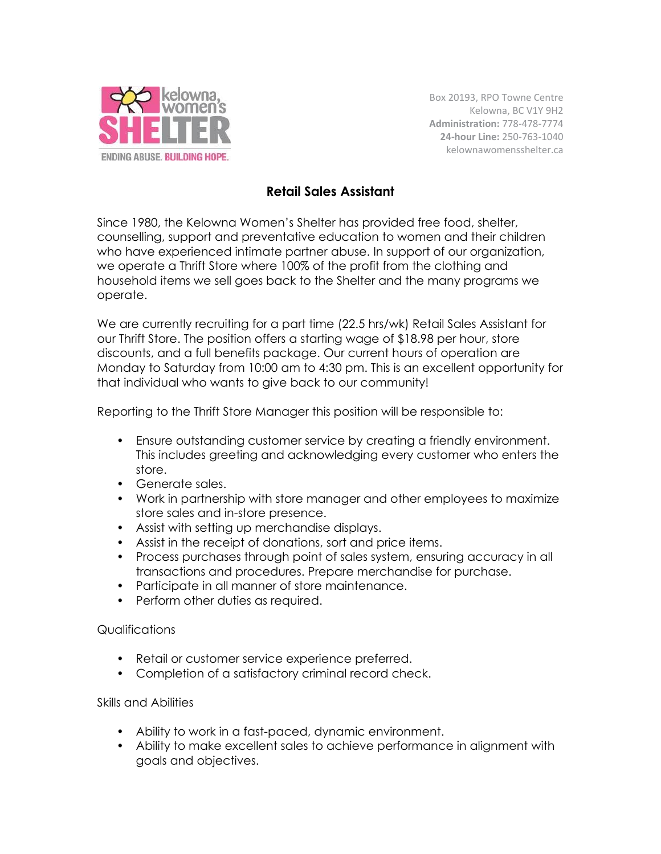

Box 20193, RPO Towne Centre Kelowna, BC V1Y 9H2 **Administration:** 778-478-7774 **24-hour Line:** 250-763-1040 kelownawomensshelter.ca

## **Retail Sales Assistant**

Since 1980, the Kelowna Women's Shelter has provided free food, shelter, counselling, support and preventative education to women and their children who have experienced intimate partner abuse. In support of our organization, we operate a Thrift Store where 100% of the profit from the clothing and household items we sell goes back to the Shelter and the many programs we operate.

We are currently recruiting for a part time (22.5 hrs/wk) Retail Sales Assistant for our Thrift Store. The position offers a starting wage of \$18.98 per hour, store discounts, and a full benefits package. Our current hours of operation are Monday to Saturday from 10:00 am to 4:30 pm. This is an excellent opportunity for that individual who wants to give back to our community!

Reporting to the Thrift Store Manager this position will be responsible to:

- Ensure outstanding customer service by creating a friendly environment. This includes greeting and acknowledging every customer who enters the store.
- Generate sales.
- Work in partnership with store manager and other employees to maximize store sales and in-store presence.
- Assist with setting up merchandise displays.
- Assist in the receipt of donations, sort and price items.
- Process purchases through point of sales system, ensuring accuracy in all transactions and procedures. Prepare merchandise for purchase.
- Participate in all manner of store maintenance.
- Perform other duties as required.

## Qualifications

- Retail or customer service experience preferred.
- Completion of a satisfactory criminal record check.

## Skills and Abilities

- Ability to work in a fast-paced, dynamic environment.
- Ability to make excellent sales to achieve performance in alignment with goals and objectives.